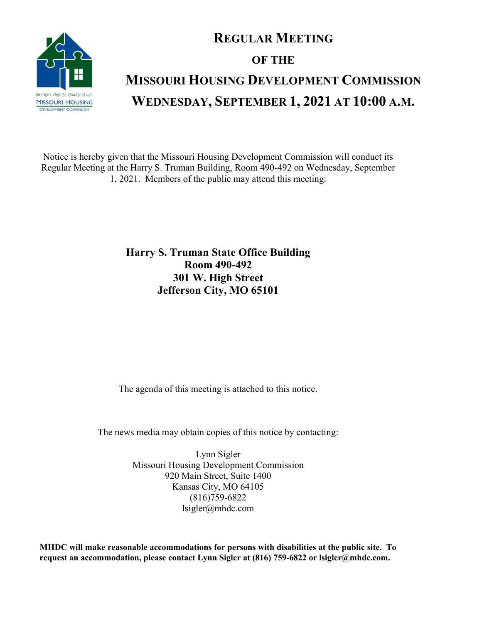

## **REGULAR MEETING OF THE MISSOURI HOUSING DEVELOPMENT COMMISSION WEDNESDAY, SEPTEMBER 1, 2021 AT 10:00 A.M.**

Notice is hereby given that the Missouri Housing Development Commission will conduct its Regular Meeting at the Harry S. Truman Building, Room 490-492 on Wednesday, September 1, 2021. Members of the public may attend this meeting:

> **Harry S. Truman State Office Building Room 490-492 301 W. High Street Jefferson City, MO 65101**

The agenda of this meeting is attached to this notice.

The news media may obtain copies of this notice by contacting:

Lynn Sigler Missouri Housing Development Commission 920 Main Street, Suite 1400 Kansas City, MO 64105 (816)759-6822 lsigler@mhdc.com

**MHDC will make reasonable accommodations for persons with disabilities at the public site. To request an accommodation, please contact Lynn Sigler at (816) 759-6822 or lsigler@mhdc.com.**